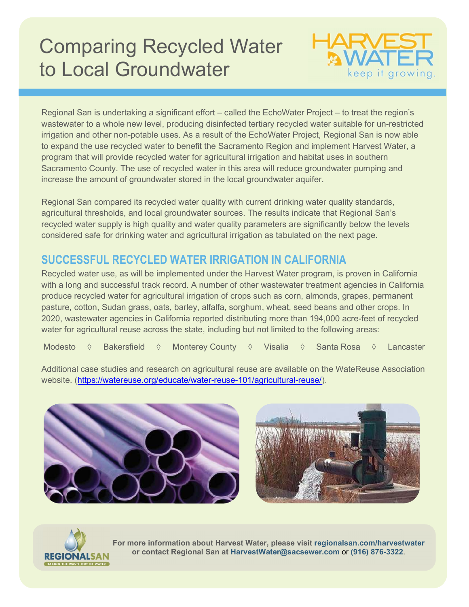## Comparing Recycled Water to Local Groundwater



Regional San is undertaking a significant effort – called the EchoWater Project – to treat the region's wastewater to a whole new level, producing disinfected tertiary recycled water suitable for un-restricted irrigation and other non-potable uses. As a result of the EchoWater Project, Regional San is now able to expand the use recycled water to benefit the Sacramento Region and implement Harvest Water, a program that will provide recycled water for agricultural irrigation and habitat uses in southern Sacramento County. The use of recycled water in this area will reduce groundwater pumping and increase the amount of groundwater stored in the local groundwater aquifer.

Regional San compared its recycled water quality with current drinking water quality standards, agricultural thresholds, and local groundwater sources. The results indicate that Regional San's recycled water supply is high quality and water quality parameters are significantly below the levels considered safe for drinking water and agricultural irrigation as tabulated on the next page.

## SUCCESSFUL RECYCLED WATER IRRIGATION IN CALIFORNIA

Recycled water use, as will be implemented under the Harvest Water program, is proven in California with a long and successful track record. A number of other wastewater treatment agencies in California produce recycled water for agricultural irrigation of crops such as corn, almonds, grapes, permanent pasture, cotton, Sudan grass, oats, barley, alfalfa, sorghum, wheat, seed beans and other crops. In 2020, wastewater agencies in California reported distributing more than 194,000 acre-feet of recycled water for agricultural reuse across the state, including but not limited to the following areas:

Modesto ◊ Bakersfield ◊ Monterey County ◊ Visalia ◊ Santa Rosa ◊ Lancaster

Additional case studies and research on agricultural reuse are available on the WateReuse Association website. (https://watereuse.org/educate/water-reuse-101/agricultural-reuse/).







For more information about Harvest Water, please visit regionalsan.com/harvestwater or contact Regional San at HarvestWater@sacsewer.com or (916) 876-3322.